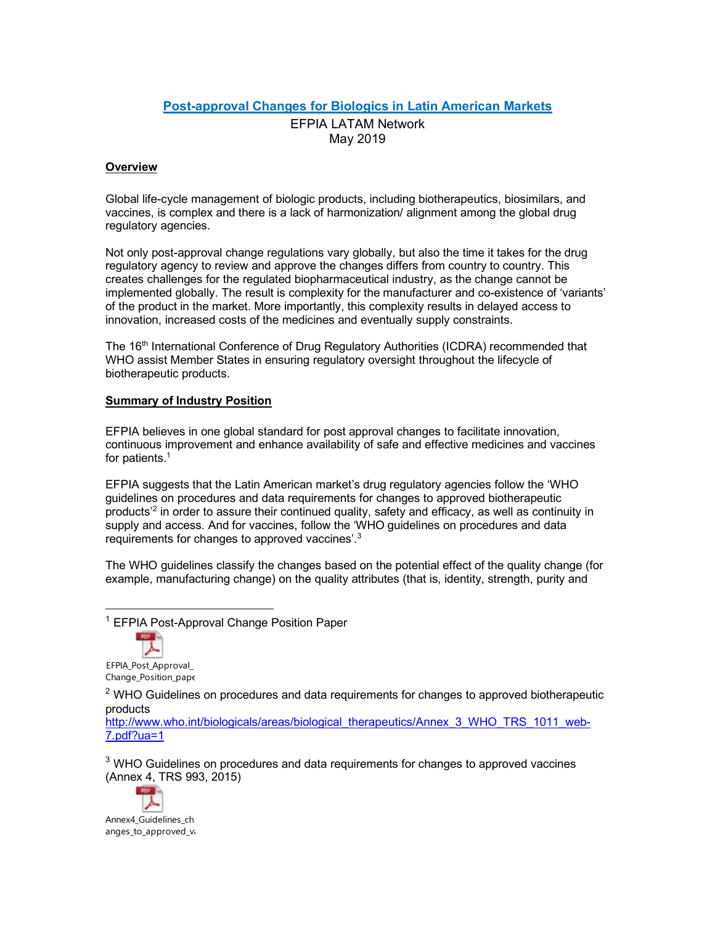## **Post-approval Changes for Biologics in Latin American Markets**

EFPIA LATAM Network May 2019

## **Overview**

Global life-cycle management of biologic products, including biotherapeutics, biosimilars, and vaccines, is complex and there is a lack of harmonization/ alignment among the global drug regulatory agencies.

Not only post-approval change regulations vary globally, but also the time it takes for the drug regulatory agency to review and approve the changes differs from country to country. This creates challenges for the regulated biopharmaceutical industry, as the change cannot be implemented globally. The result is complexity for the manufacturer and co-existence of 'variants' of the product in the market. More importantly, this complexity results in delayed access to innovation, increased costs of the medicines and eventually supply constraints.

The 16<sup>th</sup> International Conference of Drug Regulatory Authorities (ICDRA) recommended that WHO assist Member States in ensuring regulatory oversight throughout the lifecycle of biotherapeutic products.

## **Summary of Industry Position**

EFPIA believes in one global standard for post approval changes to facilitate innovation, continuous improvement and enhance availability of safe and effective medicines and vaccines for patients.<sup>1</sup>

EFPIA suggests that the Latin American market's drug regulatory agencies follow the 'WHO guidelines on procedures and data requirements for changes to approved biotherapeutic products<sup>'2</sup> in order to assure their continued quality, safety and efficacy, as well as continuity in supply and access. And for vaccines, follow the 'WHO guidelines on procedures and data requirements for changes to approved vaccines'.3

The WHO guidelines classify the changes based on the potential effect of the quality change (for example, manufacturing change) on the quality attributes (that is, identity, strength, purity and

<sup>1</sup> EFPIA Post-Approval Change Position Paper



EFPIA\_Post\_Approval\_ Change\_Position\_pape

 $2$  WHO Guidelines on procedures and data requirements for changes to approved biotherapeutic products

http://www.who.int/biologicals/areas/biological\_therapeutics/Annex\_3\_WHO\_TRS\_1011\_web-7.pdf?ua=1

<sup>3</sup> WHO Guidelines on procedures and data requirements for changes to approved vaccines (Annex 4, TRS 993, 2015)